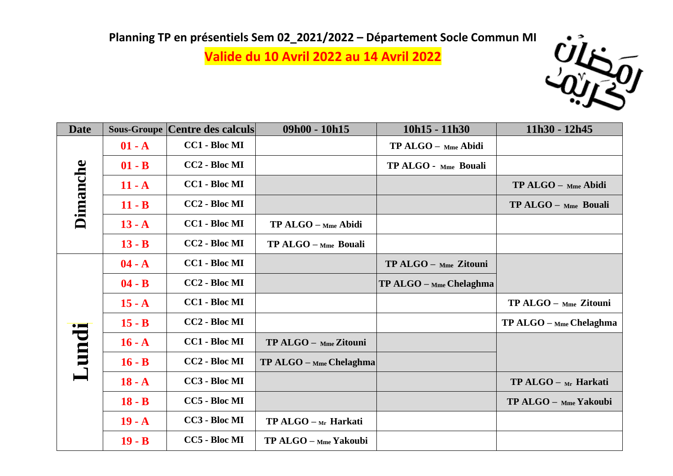**Valide du 10 Avril 2022 au 14 Avril 2022**



| <b>Date</b>     |          | <b>Sous-Groupe Centre des calculs</b> | $09h00 - 10h15$           | $10h15 - 11h30$           | 11h30 - 12h45           |
|-----------------|----------|---------------------------------------|---------------------------|---------------------------|-------------------------|
| <b>Dimanche</b> | $01 - A$ | <b>CC1 - Bloc MI</b>                  |                           | TP ALGO - Mme Abidi       |                         |
|                 | $01 - B$ | CC2 - Bloc MI                         |                           | TP ALGO - Mme Bouali      |                         |
|                 | $11 - A$ | <b>CC1 - Bloc MI</b>                  |                           |                           | TP ALGO - Mme Abidi     |
|                 | $11 - B$ | CC2 - Bloc MI                         |                           |                           | $TP ALGO - Mme$ Bouali  |
|                 | $13 - A$ | <b>CC1 - Bloc MI</b>                  | TP ALGO - Mme Abidi       |                           |                         |
|                 | $13 - B$ | CC2 - Bloc MI                         | $TP ALGO - Mme$ Bouali    |                           |                         |
| Lundi           | $04 - A$ | <b>CC1 - Bloc MI</b>                  |                           | TP ALGO - Mme Zitouni     |                         |
|                 | $04 - B$ | CC2 - Bloc MI                         |                           | $TP ALGO -$ Mme Chelaghma |                         |
|                 | $15 - A$ | <b>CC1 - Bloc MI</b>                  |                           |                           | TP ALGO - Mme Zitouni   |
|                 | $15 - B$ | CC2 - Bloc MI                         |                           |                           | TP ALGO - Mme Chelaghma |
|                 | $16 - A$ | <b>CC1 - Bloc MI</b>                  | TP ALGO - Mme Zitouni     |                           |                         |
|                 | $16 - B$ | CC2 - Bloc MI                         | $TP ALGO - Mme$ Chelaghma |                           |                         |
|                 | $18 - A$ | CC3 - Bloc MI                         |                           |                           | $TP ALGO - Mr$ Harkati  |
|                 | $18 - B$ | CC5 - Bloc MI                         |                           |                           | TP ALGO - Mme Yakoubi   |
|                 | $19 - A$ | CC3 - Bloc MI                         | $TP ALGO - Mr$ Harkati    |                           |                         |
|                 | $19 - B$ | CC5 - Bloc MI                         | TP ALGO - Mme Yakoubi     |                           |                         |